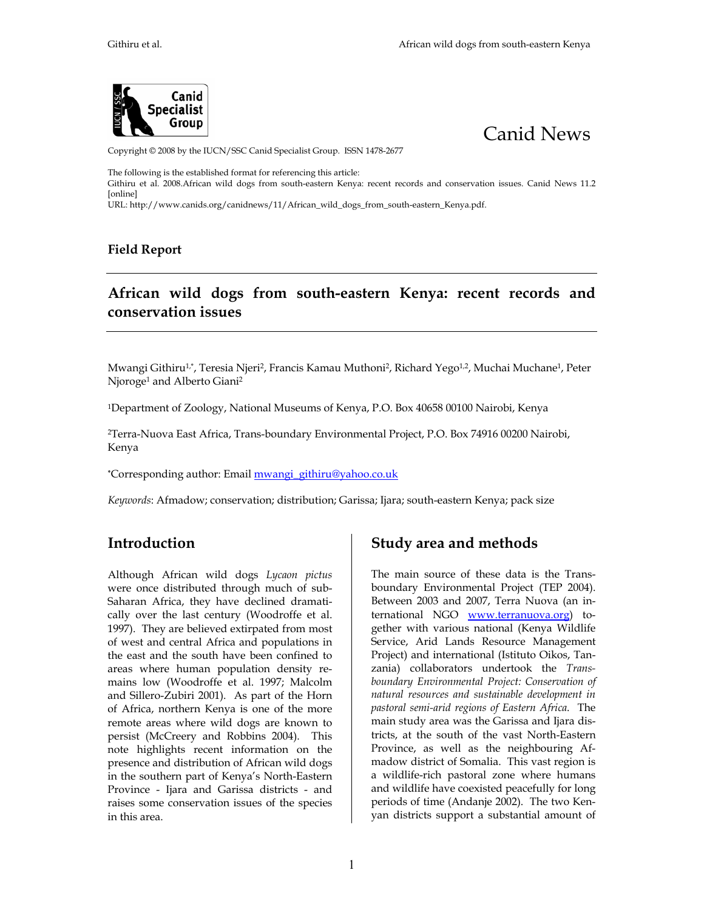



Copyright © 2008 by the IUCN/SSC Canid Specialist Group. ISSN 1478-2677

The following is the established format for referencing this article:

Githiru et al. 2008.African wild dogs from south-eastern Kenya: recent records and conservation issues. Canid News 11.2 [online]

URL: http://www.canids.org/canidnews/11/African\_wild\_dogs\_from\_south-eastern\_Kenya.pdf.

### **Field Report**

# **African wild dogs from south-eastern Kenya: recent records and conservation issues**

Mwangi Githiru<sup>1,\*</sup>, Teresia Njeri<sup>2</sup>, Francis Kamau Muthoni<sup>2</sup>, Richard Yego<sup>1,2</sup>, Muchai Muchane<sup>1</sup>, Peter Njoroge<sup>1</sup> and Alberto Giani<sup>2</sup>

1Department of Zoology, National Museums of Kenya, P.O. Box 40658 00100 Nairobi, Kenya

2Terra-Nuova East Africa, Trans-boundary Environmental Project, P.O. Box 74916 00200 Nairobi, Kenya

**\***Corresponding author: Email mwangi\_githiru@yahoo.co.uk

*Keywords*: Afmadow; conservation; distribution; Garissa; Ijara; south-eastern Kenya; pack size

## **Introduction**

Although African wild dogs *Lycaon pictus* were once distributed through much of sub-Saharan Africa, they have declined dramatically over the last century (Woodroffe et al. 1997). They are believed extirpated from most of west and central Africa and populations in the east and the south have been confined to areas where human population density remains low (Woodroffe et al. 1997; Malcolm and Sillero-Zubiri 2001). As part of the Horn of Africa, northern Kenya is one of the more remote areas where wild dogs are known to persist (McCreery and Robbins 2004). This note highlights recent information on the presence and distribution of African wild dogs in the southern part of Kenya's North-Eastern Province - Ijara and Garissa districts - and raises some conservation issues of the species in this area.

### **Study area and methods**

The main source of these data is the Transboundary Environmental Project (TEP 2004). Between 2003 and 2007, Terra Nuova (an international NGO www.terranuova.org) together with various national (Kenya Wildlife Service, Arid Lands Resource Management Project) and international (Istituto Oikos, Tanzania) collaborators undertook the *Transboundary Environmental Project: Conservation of natural resources and sustainable development in pastoral semi-arid regions of Eastern Africa*. The main study area was the Garissa and Ijara districts, at the south of the vast North-Eastern Province, as well as the neighbouring Afmadow district of Somalia. This vast region is a wildlife-rich pastoral zone where humans and wildlife have coexisted peacefully for long periods of time (Andanje 2002). The two Kenyan districts support a substantial amount of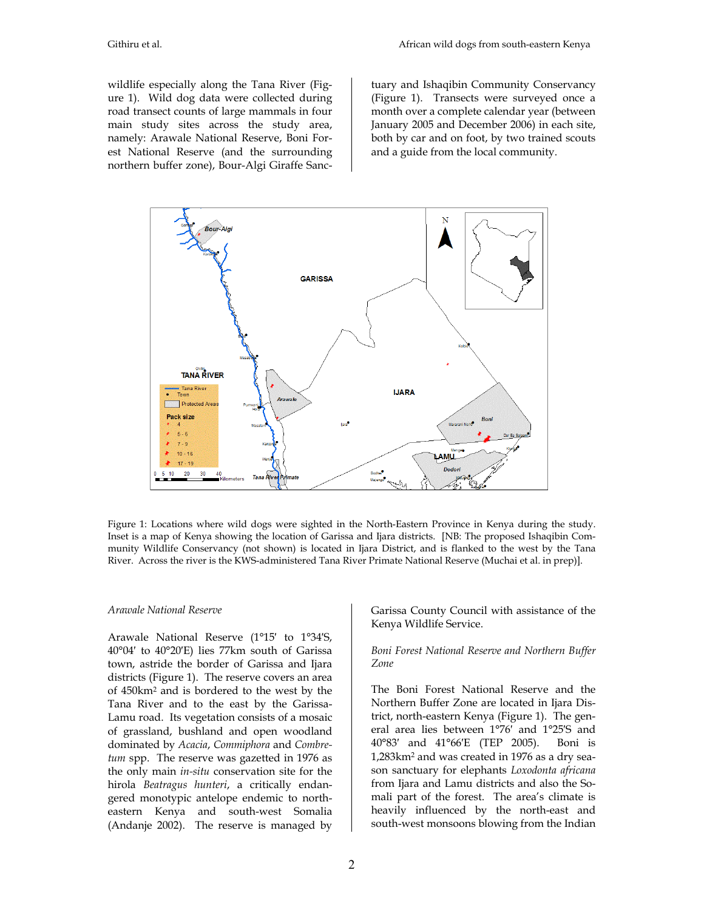wildlife especially along the Tana River (Figure 1). Wild dog data were collected during road transect counts of large mammals in four main study sites across the study area, namely: Arawale National Reserve, Boni Forest National Reserve (and the surrounding northern buffer zone), Bour-Algi Giraffe Sanctuary and Ishaqibin Community Conservancy (Figure 1). Transects were surveyed once a month over a complete calendar year (between January 2005 and December 2006) in each site, both by car and on foot, by two trained scouts and a guide from the local community.



Figure 1: Locations where wild dogs were sighted in the North-Eastern Province in Kenya during the study. Inset is a map of Kenya showing the location of Garissa and Ijara districts. [NB: The proposed Ishaqibin Community Wildlife Conservancy (not shown) is located in Ijara District, and is flanked to the west by the Tana River. Across the river is the KWS-administered Tana River Primate National Reserve (Muchai et al. in prep)].

#### *Arawale National Reserve*

Arawale National Reserve (1°15′ to 1°34′S, 40°04′ to 40°20′E) lies 77km south of Garissa town, astride the border of Garissa and Ijara districts (Figure 1). The reserve covers an area of 450km2 and is bordered to the west by the Tana River and to the east by the Garissa-Lamu road. Its vegetation consists of a mosaic of grassland, bushland and open woodland dominated by *Acacia*, *Commiphora* and *Combretum* spp. The reserve was gazetted in 1976 as the only main *in-situ* conservation site for the hirola *Beatragus hunteri*, a critically endangered monotypic antelope endemic to northeastern Kenya and south-west Somalia (Andanje 2002). The reserve is managed by

Garissa County Council with assistance of the Kenya Wildlife Service.

#### *Boni Forest National Reserve and Northern Buffer Zone*

The Boni Forest National Reserve and the Northern Buffer Zone are located in Ijara District, north-eastern Kenya (Figure 1). The general area lies between 1°76′ and 1°25′S and 40°83′ and 41°66′E (TEP 2005). Boni is 1,283km2 and was created in 1976 as a dry season sanctuary for elephants *Loxodonta africana* from Ijara and Lamu districts and also the Somali part of the forest. The area's climate is heavily influenced by the north-east and south-west monsoons blowing from the Indian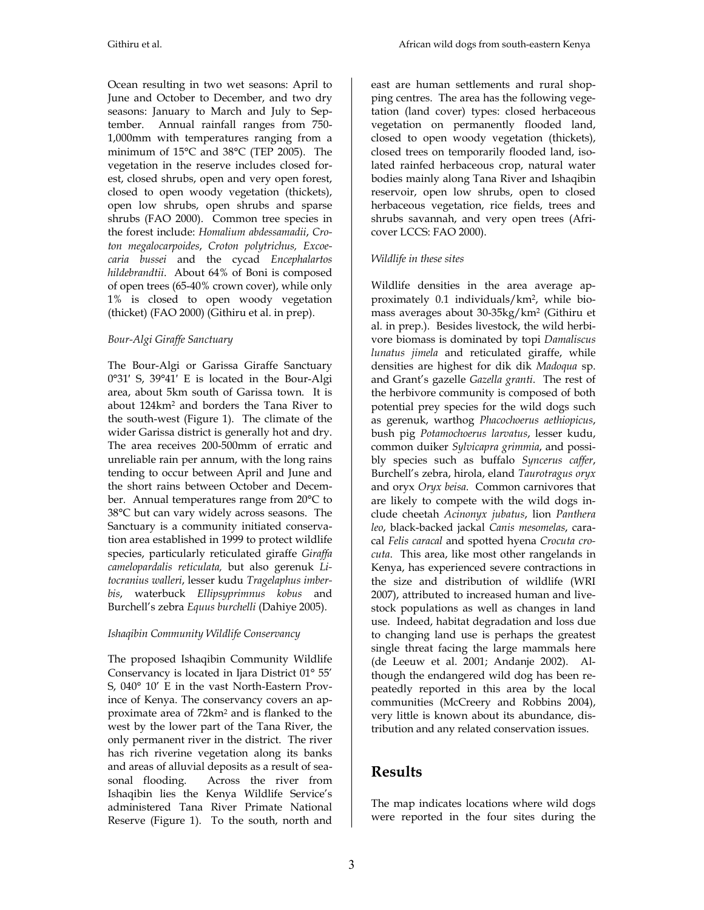Ocean resulting in two wet seasons: April to June and October to December, and two dry seasons: January to March and July to September. Annual rainfall ranges from 750- 1,000mm with temperatures ranging from a minimum of 15°C and 38°C (TEP 2005). The vegetation in the reserve includes closed forest, closed shrubs, open and very open forest, closed to open woody vegetation (thickets), open low shrubs, open shrubs and sparse shrubs (FAO 2000). Common tree species in the forest include: *Homalium abdessamadii*, *Croton megalocarpoides*, *Croton polytrichus, Excoecaria bussei* and the cycad *Encephalartos hildebrandtii*. About 64% of Boni is composed of open trees (65-40% crown cover), while only 1% is closed to open woody vegetation (thicket) (FAO 2000) (Githiru et al. in prep).

#### *Bour-Algi Giraffe Sanctuary*

The Bour-Algi or Garissa Giraffe Sanctuary 0°31′ S, 39°41′ E is located in the Bour-Algi area, about 5km south of Garissa town. It is about 124km2 and borders the Tana River to the south-west (Figure 1). The climate of the wider Garissa district is generally hot and dry. The area receives 200-500mm of erratic and unreliable rain per annum, with the long rains tending to occur between April and June and the short rains between October and December. Annual temperatures range from 20°C to 38°C but can vary widely across seasons. The Sanctuary is a community initiated conservation area established in 1999 to protect wildlife species, particularly reticulated giraffe *Giraffa camelopardalis reticulata,* but also gerenuk *Litocranius walleri*, lesser kudu *Tragelaphus imberbis*, waterbuck *Ellipsyprimnus kobus* and Burchell's zebra *Equus burchelli* (Dahiye 2005).

#### *Ishaqibin Community Wildlife Conservancy*

The proposed Ishaqibin Community Wildlife Conservancy is located in Ijara District 01° 55' S, 040° 10' E in the vast North-Eastern Province of Kenya. The conservancy covers an approximate area of 72km2 and is flanked to the west by the lower part of the Tana River, the only permanent river in the district. The river has rich riverine vegetation along its banks and areas of alluvial deposits as a result of seasonal flooding. Across the river from Ishaqibin lies the Kenya Wildlife Service's administered Tana River Primate National Reserve (Figure 1). To the south, north and

east are human settlements and rural shopping centres. The area has the following vegetation (land cover) types: closed herbaceous vegetation on permanently flooded land, closed to open woody vegetation (thickets), closed trees on temporarily flooded land, isolated rainfed herbaceous crop, natural water bodies mainly along Tana River and Ishaqibin reservoir, open low shrubs, open to closed herbaceous vegetation, rice fields, trees and shrubs savannah, and very open trees (Africover LCCS: FAO 2000).

#### *Wildlife in these sites*

Wildlife densities in the area average approximately 0.1 individuals/km2, while biomass averages about 30-35kg/km2 (Githiru et al. in prep.). Besides livestock, the wild herbivore biomass is dominated by topi *Damaliscus lunatus jimela* and reticulated giraffe, while densities are highest for dik dik *Madoqua* sp. and Grant's gazelle *Gazella granti*. The rest of the herbivore community is composed of both potential prey species for the wild dogs such as gerenuk, warthog *Phacochoerus aethiopicus*, bush pig *Potamochoerus larvatus*, lesser kudu, common duiker *Sylvicapra grimmia*, and possibly species such as buffalo *Syncerus caffer*, Burchell's zebra, hirola, eland *Taurotragus oryx* and oryx *Oryx beisa*. Common carnivores that are likely to compete with the wild dogs include cheetah *Acinonyx jubatus*, lion *Panthera leo*, black-backed jackal *Canis mesomelas*, caracal *Felis caracal* and spotted hyena *Crocuta crocuta*. This area, like most other rangelands in Kenya, has experienced severe contractions in the size and distribution of wildlife (WRI 2007), attributed to increased human and livestock populations as well as changes in land use. Indeed, habitat degradation and loss due to changing land use is perhaps the greatest single threat facing the large mammals here (de Leeuw et al. 2001; Andanje 2002). Although the endangered wild dog has been repeatedly reported in this area by the local communities (McCreery and Robbins 2004), very little is known about its abundance, distribution and any related conservation issues.

## **Results**

The map indicates locations where wild dogs were reported in the four sites during the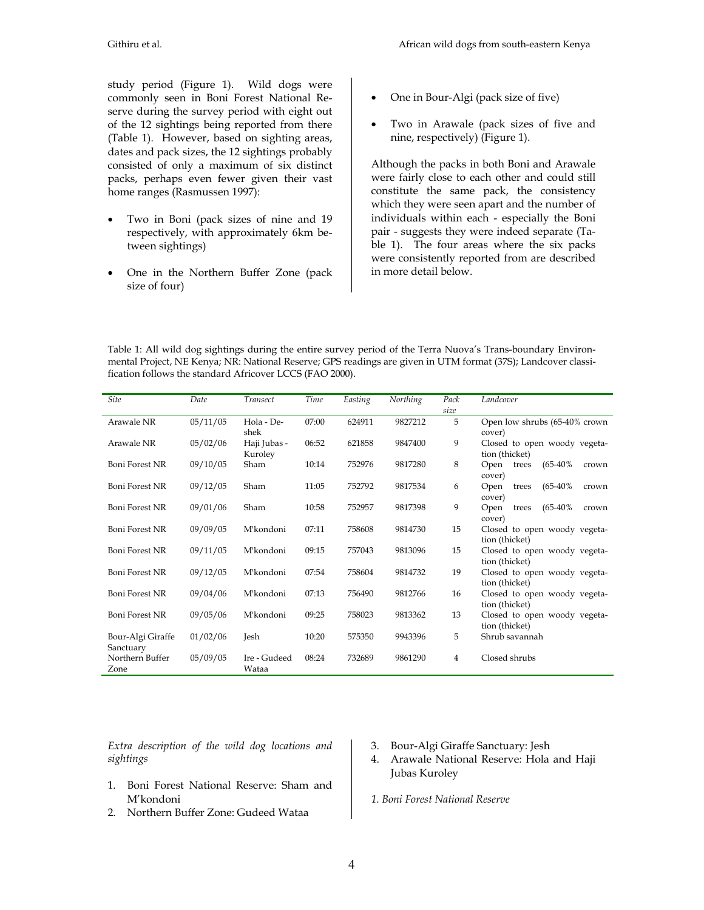study period (Figure 1). Wild dogs were commonly seen in Boni Forest National Reserve during the survey period with eight out of the 12 sightings being reported from there (Table 1). However, based on sighting areas, dates and pack sizes, the 12 sightings probably consisted of only a maximum of six distinct packs, perhaps even fewer given their vast home ranges (Rasmussen 1997):

- Two in Boni (pack sizes of nine and 19 respectively, with approximately 6km between sightings)
- One in the Northern Buffer Zone (pack size of four)
- One in Bour-Algi (pack size of five)
- Two in Arawale (pack sizes of five and nine, respectively) (Figure 1).

Although the packs in both Boni and Arawale were fairly close to each other and could still constitute the same pack, the consistency which they were seen apart and the number of individuals within each - especially the Boni pair - suggests they were indeed separate (Table 1). The four areas where the six packs were consistently reported from are described in more detail below.

Table 1: All wild dog sightings during the entire survey period of the Terra Nuova's Trans-boundary Environmental Project, NE Kenya; NR: National Reserve; GPS readings are given in UTM format (37S); Landcover classification follows the standard Africover LCCS (FAO 2000).

| <b>Site</b>           | Date     | Transect     | Time  |         |          | Pack           | Landcover                            |
|-----------------------|----------|--------------|-------|---------|----------|----------------|--------------------------------------|
|                       |          |              |       | Easting | Northing | size           |                                      |
| Arawale NR            | 05/11/05 | Hola - De-   | 07:00 | 624911  | 9827212  | 5              | Open low shrubs (65-40% crown        |
|                       |          | shek         |       |         |          |                | cover)                               |
| Arawale NR            | 05/02/06 | Haji Jubas - | 06:52 | 621858  | 9847400  | 9              | Closed to open woody vegeta-         |
|                       |          | Kuroley      |       |         |          |                | tion (thicket)                       |
| <b>Boni Forest NR</b> | 09/10/05 | Sham         | 10:14 | 752976  | 9817280  | 8              | Open<br>$(65-40\%$<br>trees<br>crown |
|                       |          |              |       |         |          |                | cover)                               |
| <b>Boni Forest NR</b> | 09/12/05 | Sham         | 11:05 | 752792  | 9817534  | 6              | $(65-40\%$<br>Open<br>trees<br>crown |
|                       |          |              |       |         |          |                | cover)                               |
| <b>Boni Forest NR</b> | 09/01/06 | Sham         | 10:58 | 752957  | 9817398  | 9              | $(65-40\%$<br>Open<br>trees<br>crown |
|                       |          |              |       |         |          |                | cover)                               |
| <b>Boni Forest NR</b> | 09/09/05 | M'kondoni    | 07:11 | 758608  | 9814730  | 15             | Closed to open woody vegeta-         |
|                       |          |              |       |         |          |                | tion (thicket)                       |
| <b>Boni Forest NR</b> | 09/11/05 | M'kondoni    | 09:15 | 757043  | 9813096  | 15             | Closed to open woody vegeta-         |
|                       |          |              |       |         |          |                | tion (thicket)                       |
| <b>Boni Forest NR</b> | 09/12/05 | M'kondoni    | 07:54 | 758604  | 9814732  | 19             | Closed to open woody vegeta-         |
|                       |          |              |       |         |          |                | tion (thicket)                       |
| <b>Boni Forest NR</b> | 09/04/06 | M'kondoni    | 07:13 | 756490  | 9812766  | 16             | Closed to open woody vegeta-         |
|                       |          |              |       |         |          |                | tion (thicket)                       |
| <b>Boni Forest NR</b> | 09/05/06 | M'kondoni    | 09:25 | 758023  | 9813362  | 13             | Closed to open woody vegeta-         |
|                       |          |              |       |         |          |                | tion (thicket)                       |
| Bour-Algi Giraffe     | 01/02/06 | Jesh         | 10:20 | 575350  | 9943396  | 5              | Shrub savannah                       |
| Sanctuary             |          |              |       |         |          |                |                                      |
| Northern Buffer       | 05/09/05 | Ire - Gudeed | 08:24 | 732689  | 9861290  | $\overline{4}$ | Closed shrubs                        |
| Zone                  |          | Wataa        |       |         |          |                |                                      |

*Extra description of the wild dog locations and sightings* 

- 1. Boni Forest National Reserve: Sham and M'kondoni
- 2. Northern Buffer Zone: Gudeed Wataa
- 3. Bour-Algi Giraffe Sanctuary: Jesh
- 4. Arawale National Reserve: Hola and Haji Jubas Kuroley
- *1. Boni Forest National Reserve*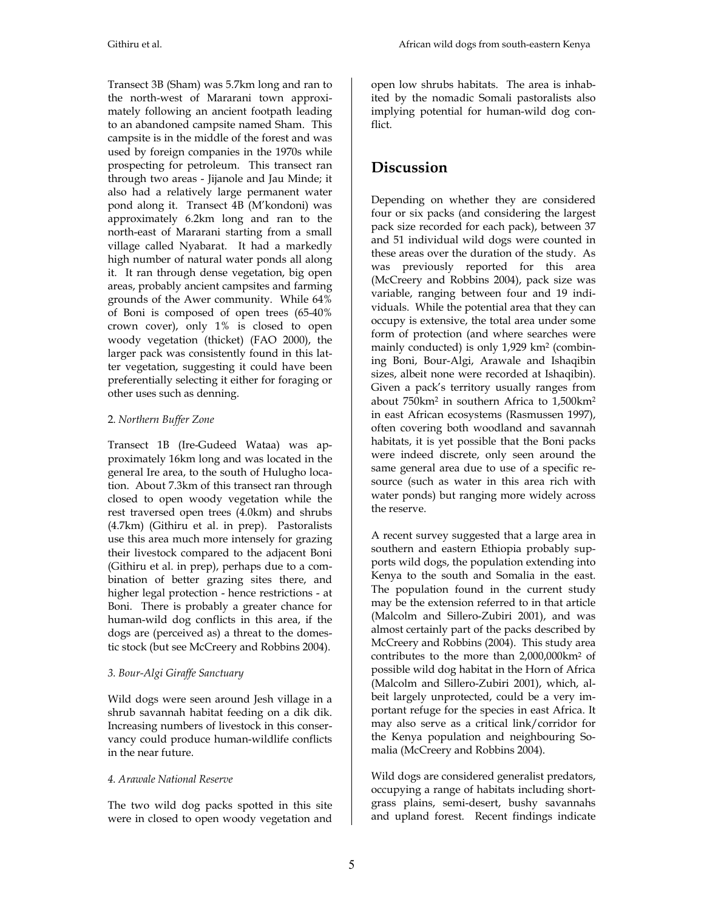Transect 3B (Sham) was 5.7km long and ran to the north-west of Mararani town approximately following an ancient footpath leading to an abandoned campsite named Sham. This campsite is in the middle of the forest and was used by foreign companies in the 1970s while prospecting for petroleum. This transect ran through two areas - Jijanole and Jau Minde; it also had a relatively large permanent water pond along it. Transect 4B (M'kondoni) was approximately 6.2km long and ran to the north-east of Mararani starting from a small village called Nyabarat. It had a markedly high number of natural water ponds all along it. It ran through dense vegetation, big open areas, probably ancient campsites and farming grounds of the Awer community. While 64% of Boni is composed of open trees (65-40% crown cover), only 1% is closed to open woody vegetation (thicket) (FAO 2000), the larger pack was consistently found in this latter vegetation, suggesting it could have been preferentially selecting it either for foraging or other uses such as denning.

### 2. *Northern Buffer Zone*

Transect 1B (Ire-Gudeed Wataa) was approximately 16km long and was located in the general Ire area, to the south of Hulugho location. About 7.3km of this transect ran through closed to open woody vegetation while the rest traversed open trees (4.0km) and shrubs (4.7km) (Githiru et al. in prep). Pastoralists use this area much more intensely for grazing their livestock compared to the adjacent Boni (Githiru et al. in prep), perhaps due to a combination of better grazing sites there, and higher legal protection - hence restrictions - at Boni. There is probably a greater chance for human-wild dog conflicts in this area, if the dogs are (perceived as) a threat to the domestic stock (but see McCreery and Robbins 2004).

### *3. Bour-Algi Giraffe Sanctuary*

Wild dogs were seen around Jesh village in a shrub savannah habitat feeding on a dik dik. Increasing numbers of livestock in this conservancy could produce human-wildlife conflicts in the near future.

### *4. Arawale National Reserve*

The two wild dog packs spotted in this site were in closed to open woody vegetation and

open low shrubs habitats. The area is inhabited by the nomadic Somali pastoralists also implying potential for human-wild dog conflict.

# **Discussion**

Depending on whether they are considered four or six packs (and considering the largest pack size recorded for each pack), between 37 and 51 individual wild dogs were counted in these areas over the duration of the study. As was previously reported for this area (McCreery and Robbins 2004), pack size was variable, ranging between four and 19 individuals. While the potential area that they can occupy is extensive, the total area under some form of protection (and where searches were mainly conducted) is only 1,929 km2 (combining Boni, Bour-Algi, Arawale and Ishaqibin sizes, albeit none were recorded at Ishaqibin). Given a pack's territory usually ranges from about 750km2 in southern Africa to 1,500km2 in east African ecosystems (Rasmussen 1997), often covering both woodland and savannah habitats, it is yet possible that the Boni packs were indeed discrete, only seen around the same general area due to use of a specific resource (such as water in this area rich with water ponds) but ranging more widely across the reserve.

A recent survey suggested that a large area in southern and eastern Ethiopia probably supports wild dogs, the population extending into Kenya to the south and Somalia in the east. The population found in the current study may be the extension referred to in that article (Malcolm and Sillero-Zubiri 2001), and was almost certainly part of the packs described by McCreery and Robbins (2004). This study area contributes to the more than 2,000,000km2 of possible wild dog habitat in the Horn of Africa (Malcolm and Sillero-Zubiri 2001), which, albeit largely unprotected, could be a very important refuge for the species in east Africa. It may also serve as a critical link/corridor for the Kenya population and neighbouring Somalia (McCreery and Robbins 2004).

Wild dogs are considered generalist predators, occupying a range of habitats including shortgrass plains, semi-desert, bushy savannahs and upland forest. Recent findings indicate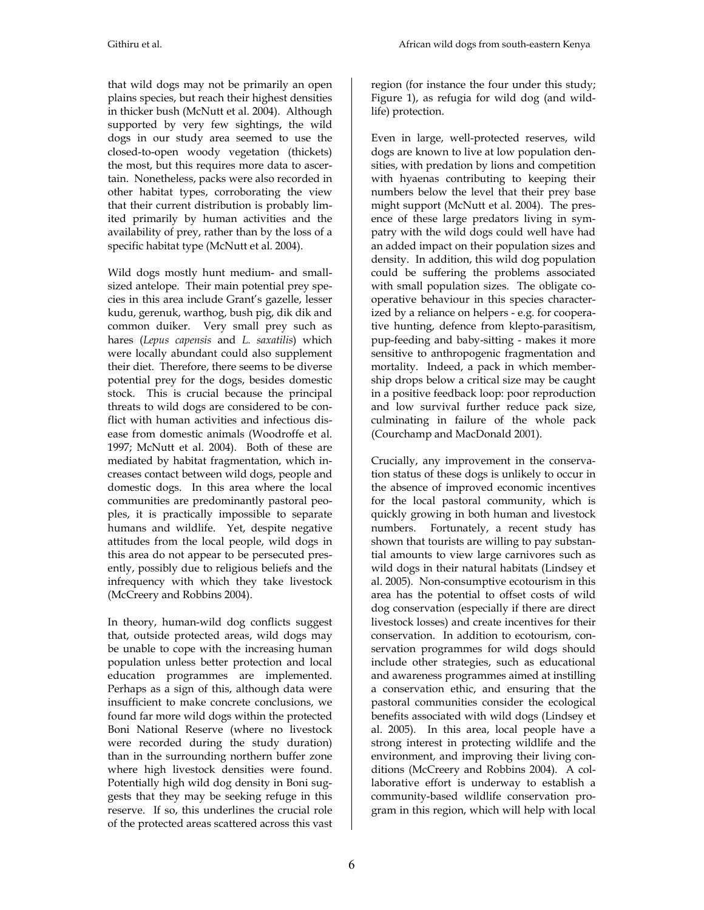that wild dogs may not be primarily an open plains species, but reach their highest densities in thicker bush (McNutt et al. 2004). Although supported by very few sightings, the wild dogs in our study area seemed to use the closed-to-open woody vegetation (thickets) the most, but this requires more data to ascertain. Nonetheless, packs were also recorded in other habitat types, corroborating the view that their current distribution is probably limited primarily by human activities and the availability of prey, rather than by the loss of a specific habitat type (McNutt et al. 2004).

Wild dogs mostly hunt medium- and smallsized antelope. Their main potential prey species in this area include Grant's gazelle, lesser kudu, gerenuk, warthog, bush pig, dik dik and common duiker. Very small prey such as hares (*Lepus capensis* and *L. saxatilis*) which were locally abundant could also supplement their diet. Therefore, there seems to be diverse potential prey for the dogs, besides domestic stock. This is crucial because the principal threats to wild dogs are considered to be conflict with human activities and infectious disease from domestic animals (Woodroffe et al. 1997; McNutt et al. 2004). Both of these are mediated by habitat fragmentation, which increases contact between wild dogs, people and domestic dogs. In this area where the local communities are predominantly pastoral peoples, it is practically impossible to separate humans and wildlife. Yet, despite negative attitudes from the local people, wild dogs in this area do not appear to be persecuted presently, possibly due to religious beliefs and the infrequency with which they take livestock (McCreery and Robbins 2004).

In theory, human-wild dog conflicts suggest that, outside protected areas, wild dogs may be unable to cope with the increasing human population unless better protection and local education programmes are implemented. Perhaps as a sign of this, although data were insufficient to make concrete conclusions, we found far more wild dogs within the protected Boni National Reserve (where no livestock were recorded during the study duration) than in the surrounding northern buffer zone where high livestock densities were found. Potentially high wild dog density in Boni suggests that they may be seeking refuge in this reserve. If so, this underlines the crucial role of the protected areas scattered across this vast region (for instance the four under this study; Figure 1), as refugia for wild dog (and wildlife) protection.

Even in large, well-protected reserves, wild dogs are known to live at low population densities, with predation by lions and competition with hyaenas contributing to keeping their numbers below the level that their prey base might support (McNutt et al. 2004). The presence of these large predators living in sympatry with the wild dogs could well have had an added impact on their population sizes and density. In addition, this wild dog population could be suffering the problems associated with small population sizes. The obligate cooperative behaviour in this species characterized by a reliance on helpers - e.g. for cooperative hunting, defence from klepto-parasitism, pup-feeding and baby-sitting - makes it more sensitive to anthropogenic fragmentation and mortality. Indeed, a pack in which membership drops below a critical size may be caught in a positive feedback loop: poor reproduction and low survival further reduce pack size, culminating in failure of the whole pack (Courchamp and MacDonald 2001).

Crucially, any improvement in the conservation status of these dogs is unlikely to occur in the absence of improved economic incentives for the local pastoral community, which is quickly growing in both human and livestock numbers. Fortunately, a recent study has shown that tourists are willing to pay substantial amounts to view large carnivores such as wild dogs in their natural habitats (Lindsey et al. 2005). Non-consumptive ecotourism in this area has the potential to offset costs of wild dog conservation (especially if there are direct livestock losses) and create incentives for their conservation. In addition to ecotourism, conservation programmes for wild dogs should include other strategies, such as educational and awareness programmes aimed at instilling a conservation ethic, and ensuring that the pastoral communities consider the ecological benefits associated with wild dogs (Lindsey et al. 2005). In this area, local people have a strong interest in protecting wildlife and the environment, and improving their living conditions (McCreery and Robbins 2004). A collaborative effort is underway to establish a community-based wildlife conservation program in this region, which will help with local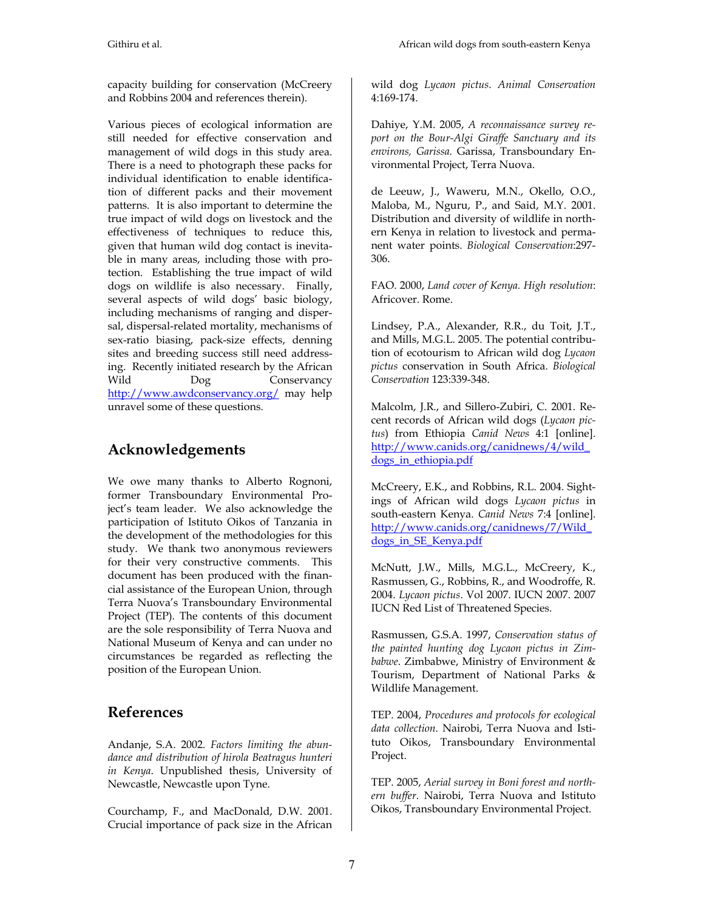capacity building for conservation (McCreery and Robbins 2004 and references therein).

Various pieces of ecological information are still needed for effective conservation and management of wild dogs in this study area. There is a need to photograph these packs for individual identification to enable identification of different packs and their movement patterns. It is also important to determine the true impact of wild dogs on livestock and the effectiveness of techniques to reduce this, given that human wild dog contact is inevitable in many areas, including those with protection. Establishing the true impact of wild dogs on wildlife is also necessary. Finally, several aspects of wild dogs' basic biology, including mechanisms of ranging and dispersal, dispersal-related mortality, mechanisms of sex-ratio biasing, pack-size effects, denning sites and breeding success still need addressing. Recently initiated research by the African Wild Dog Conservancy http://www.awdconservancy.org/ may help unravel some of these questions.

# **Acknowledgements**

We owe many thanks to Alberto Rognoni, former Transboundary Environmental Project's team leader. We also acknowledge the participation of Istituto Oikos of Tanzania in the development of the methodologies for this study. We thank two anonymous reviewers for their very constructive comments. This document has been produced with the financial assistance of the European Union, through Terra Nuova's Transboundary Environmental Project (TEP). The contents of this document are the sole responsibility of Terra Nuova and National Museum of Kenya and can under no circumstances be regarded as reflecting the position of the European Union.

# **References**

Andanje, S.A. 2002. *Factors limiting the abundance and distribution of hirola Beatragus hunteri in Kenya*. Unpublished thesis, University of Newcastle, Newcastle upon Tyne.

Courchamp, F., and MacDonald, D.W. 2001. Crucial importance of pack size in the African wild dog *Lycaon pictus*. *Animal Conservation* 4:169-174.

Dahiye, Y.M. 2005, *A reconnaissance survey report on the Bour-Algi Giraffe Sanctuary and its environs, Garissa*. Garissa, Transboundary Environmental Project, Terra Nuova.

de Leeuw, J., Waweru, M.N., Okello, O.O., Maloba, M., Nguru, P., and Said, M.Y. 2001. Distribution and diversity of wildlife in northern Kenya in relation to livestock and permanent water points. *Biological Conservation*:297- 306.

FAO. 2000, *Land cover of Kenya. High resolution*: Africover. Rome.

Lindsey, P.A., Alexander, R.R., du Toit, J.T., and Mills, M.G.L. 2005. The potential contribution of ecotourism to African wild dog *Lycaon pictus* conservation in South Africa. *Biological Conservation* 123:339-348.

Malcolm, J.R., and Sillero-Zubiri, C. 2001. Recent records of African wild dogs (*Lycaon pictus*) from Ethiopia *Canid News* 4:1 [online]. http://www.canids.org/canidnews/4/wild\_ dogs\_in\_ethiopia.pdf

McCreery, E.K., and Robbins, R.L. 2004. Sightings of African wild dogs *Lycaon pictus* in south-eastern Kenya. *Canid News* 7:4 [online]. http://www.canids.org/canidnews/7/Wild\_ dogs\_in\_SE\_Kenya.pdf

McNutt, J.W., Mills, M.G.L., McCreery, K., Rasmussen, G., Robbins, R., and Woodroffe, R. 2004. *Lycaon pictus*. Vol 2007. IUCN 2007. 2007 IUCN Red List of Threatened Species.

Rasmussen, G.S.A. 1997, *Conservation status of the painted hunting dog Lycaon pictus in Zimbabwe*. Zimbabwe, Ministry of Environment & Tourism, Department of National Parks & Wildlife Management.

TEP. 2004, *Procedures and protocols for ecological data collection*. Nairobi, Terra Nuova and Istituto Oikos, Transboundary Environmental Project.

TEP. 2005, *Aerial survey in Boni forest and northern buffer*. Nairobi, Terra Nuova and Istituto Oikos, Transboundary Environmental Project.